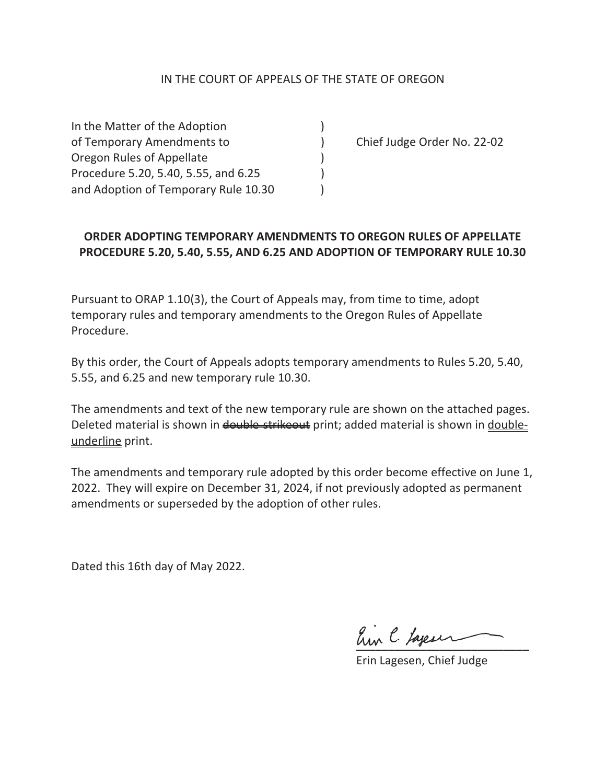### IN THE COURT OF APPEALS OF THE STATE OF OREGON

In the Matter of the Adoption ) of Temporary Amendments to ) Chief Judge Order No. 22-02 Oregon Rules of Appellate ) Procedure 5.20, 5.40, 5.55, and 6.25 ) and Adoption of Temporary Rule 10.30

# **ORDER ADOPTING TEMPORARY AMENDMENTS TO OREGON RULES OF APPELLATE PROCEDURE 5.20, 5.40, 5.55, AND 6.25 AND ADOPTION OF TEMPORARY RULE 10.30**

Pursuant to ORAP 1.10(3), the Court of Appeals may, from time to time, adopt temporary rules and temporary amendments to the Oregon Rules of Appellate Procedure.

By this order, the Court of Appeals adopts temporary amendments to Rules 5.20, 5.40, 5.55, and 6.25 and new temporary rule 10.30.

The amendments and text of the new temporary rule are shown on the attached pages. Deleted material is shown in double strikeout print; added material is shown in doubleunderline print.

The amendments and temporary rule adopted by this order become effective on June 1, 2022. They will expire on December 31, 2024, if not previously adopted as permanent amendments or superseded by the adoption of other rules.

Dated this 16th day of May 2022.

 $\ell$  by tare in

Erin Lagesen, Chief Judge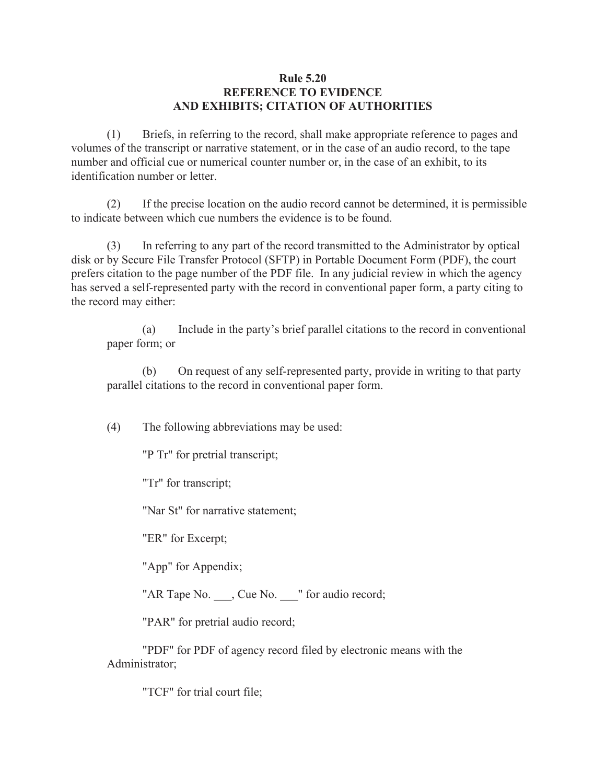#### **Rule 5.20 REFERENCE TO EVIDENCE AND EXHIBITS; CITATION OF AUTHORITIES**

(1) Briefs, in referring to the record, shall make appropriate reference to pages and volumes of the transcript or narrative statement, or in the case of an audio record, to the tape number and official cue or numerical counter number or, in the case of an exhibit, to its identification number or letter.

 (2) If the precise location on the audio record cannot be determined, it is permissible to indicate between which cue numbers the evidence is to be found.

 (3) In referring to any part of the record transmitted to the Administrator by optical disk or by Secure File Transfer Protocol (SFTP) in Portable Document Form (PDF), the court prefers citation to the page number of the PDF file. In any judicial review in which the agency has served a self-represented party with the record in conventional paper form, a party citing to the record may either:

 (a) Include in the party's brief parallel citations to the record in conventional paper form; or

 (b) On request of any self-represented party, provide in writing to that party parallel citations to the record in conventional paper form.

(4) The following abbreviations may be used:

"P Tr" for pretrial transcript;

"Tr" for transcript;

"Nar St" for narrative statement;

"ER" for Excerpt;

"App" for Appendix;

"AR Tape No.  $\Box$ , Cue No.  $\Box$ " for audio record;

"PAR" for pretrial audio record;

 "PDF" for PDF of agency record filed by electronic means with the Administrator;

"TCF" for trial court file;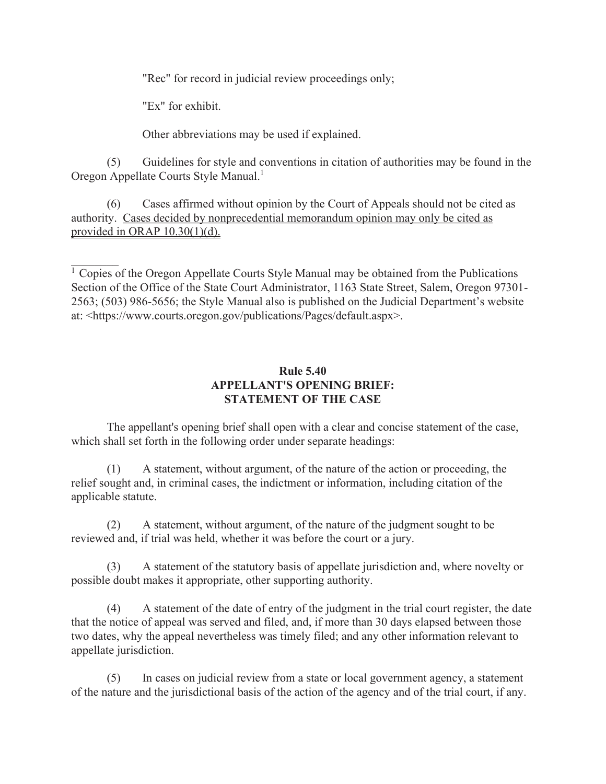"Rec" for record in judicial review proceedings only;

"Ex" for exhibit.

Other abbreviations may be used if explained.

 (5) Guidelines for style and conventions in citation of authorities may be found in the Oregon Appellate Courts Style Manual.<sup>1</sup>

 (6) Cases affirmed without opinion by the Court of Appeals should not be cited as authority. Cases decided by nonprecedential memorandum opinion may only be cited as provided in ORAP 10.30(1)(d).

 $1$  Copies of the Oregon Appellate Courts Style Manual may be obtained from the Publications Section of the Office of the State Court Administrator, 1163 State Street, Salem, Oregon 97301- 2563; (503) 986-5656; the Style Manual also is published on the Judicial Department's website at: <https://www.courts.oregon.gov/publications/Pages/default.aspx>.

### **Rule 5.40 APPELLANT'S OPENING BRIEF: STATEMENT OF THE CASE**

 The appellant's opening brief shall open with a clear and concise statement of the case, which shall set forth in the following order under separate headings:

 (1) A statement, without argument, of the nature of the action or proceeding, the relief sought and, in criminal cases, the indictment or information, including citation of the applicable statute.

 (2) A statement, without argument, of the nature of the judgment sought to be reviewed and, if trial was held, whether it was before the court or a jury.

 (3) A statement of the statutory basis of appellate jurisdiction and, where novelty or possible doubt makes it appropriate, other supporting authority.

 (4) A statement of the date of entry of the judgment in the trial court register, the date that the notice of appeal was served and filed, and, if more than 30 days elapsed between those two dates, why the appeal nevertheless was timely filed; and any other information relevant to appellate jurisdiction.

 (5) In cases on judicial review from a state or local government agency, a statement of the nature and the jurisdictional basis of the action of the agency and of the trial court, if any.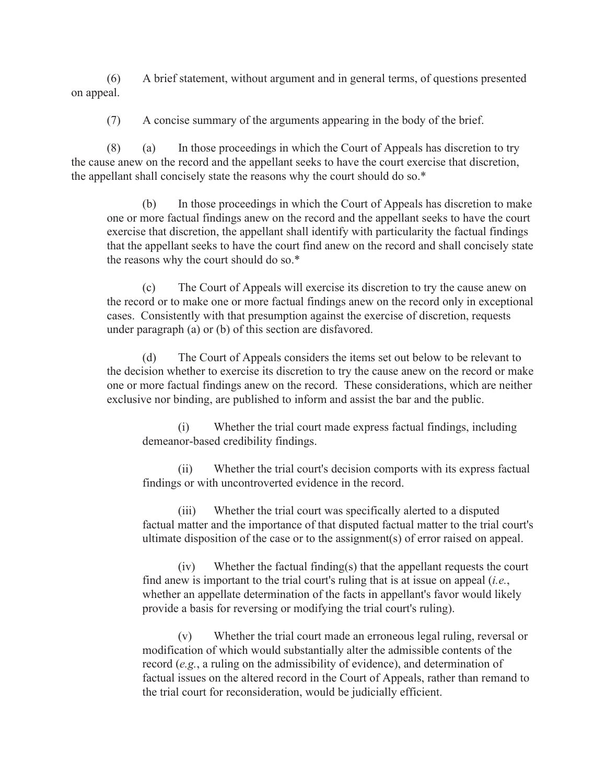(6) A brief statement, without argument and in general terms, of questions presented on appeal.

(7) A concise summary of the arguments appearing in the body of the brief.

 (8) (a) In those proceedings in which the Court of Appeals has discretion to try the cause anew on the record and the appellant seeks to have the court exercise that discretion, the appellant shall concisely state the reasons why the court should do so.\*

 (b) In those proceedings in which the Court of Appeals has discretion to make one or more factual findings anew on the record and the appellant seeks to have the court exercise that discretion, the appellant shall identify with particularity the factual findings that the appellant seeks to have the court find anew on the record and shall concisely state the reasons why the court should do so.\*

 (c) The Court of Appeals will exercise its discretion to try the cause anew on the record or to make one or more factual findings anew on the record only in exceptional cases. Consistently with that presumption against the exercise of discretion, requests under paragraph (a) or (b) of this section are disfavored.

 (d) The Court of Appeals considers the items set out below to be relevant to the decision whether to exercise its discretion to try the cause anew on the record or make one or more factual findings anew on the record. These considerations, which are neither exclusive nor binding, are published to inform and assist the bar and the public.

 (i) Whether the trial court made express factual findings, including demeanor-based credibility findings.

 (ii) Whether the trial court's decision comports with its express factual findings or with uncontroverted evidence in the record.

 (iii) Whether the trial court was specifically alerted to a disputed factual matter and the importance of that disputed factual matter to the trial court's ultimate disposition of the case or to the assignment(s) of error raised on appeal.

 (iv) Whether the factual finding(s) that the appellant requests the court find anew is important to the trial court's ruling that is at issue on appeal (*i.e.*, whether an appellate determination of the facts in appellant's favor would likely provide a basis for reversing or modifying the trial court's ruling).

 (v) Whether the trial court made an erroneous legal ruling, reversal or modification of which would substantially alter the admissible contents of the record (*e.g.*, a ruling on the admissibility of evidence), and determination of factual issues on the altered record in the Court of Appeals, rather than remand to the trial court for reconsideration, would be judicially efficient.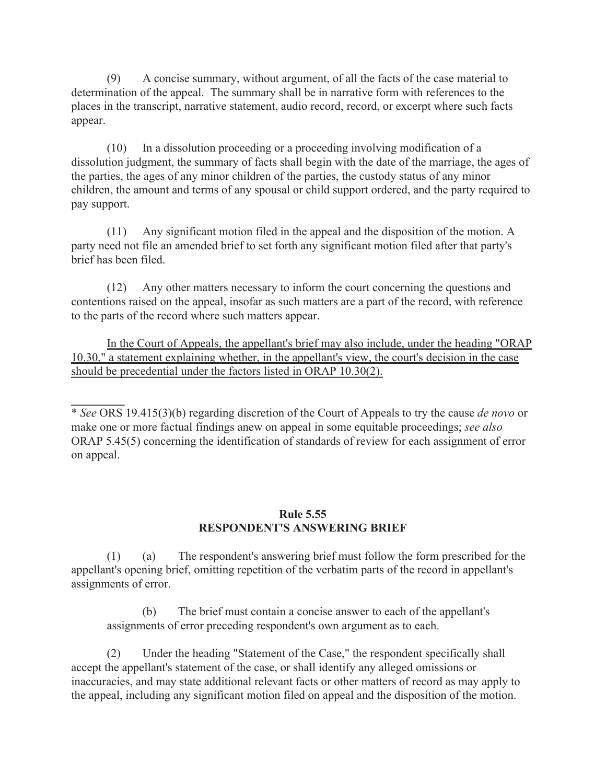(9) A concise summary, without argument, of all the facts of the case material to determination of the appeal. The summary shall be in narrative form with references to the places in the transcript, narrative statement, audio record, record, or excerpt where such facts appear.

 (10) In a dissolution proceeding or a proceeding involving modification of a dissolution judgment, the summary of facts shall begin with the date of the marriage, the ages of the parties, the ages of any minor children of the parties, the custody status of any minor children, the amount and terms of any spousal or child support ordered, and the party required to pay support.

 (11) Any significant motion filed in the appeal and the disposition of the motion. A party need not file an amended brief to set forth any significant motion filed after that party's brief has been filed.

 (12) Any other matters necessary to inform the court concerning the questions and contentions raised on the appeal, insofar as such matters are a part of the record, with reference to the parts of the record where such matters appear.

 In the Court of Appeals, the appellant's brief may also include, under the heading "ORAP 10.30," a statement explaining whether, in the appellant's view, the court's decision in the case should be precedential under the factors listed in ORAP 10.30(2).

\* *See* ORS 19.415(3)(b) regarding discretion of the Court of Appeals to try the cause *de novo* or make one or more factual findings anew on appeal in some equitable proceedings; *see also* ORAP 5.45(5) concerning the identification of standards of review for each assignment of error on appeal.

**\_\_\_\_\_\_\_\_\_** 

### **Rule 5.55 RESPONDENT'S ANSWERING BRIEF**

 (1) (a) The respondent's answering brief must follow the form prescribed for the appellant's opening brief, omitting repetition of the verbatim parts of the record in appellant's assignments of error.

 (b) The brief must contain a concise answer to each of the appellant's assignments of error preceding respondent's own argument as to each.

 (2) Under the heading "Statement of the Case," the respondent specifically shall accept the appellant's statement of the case, or shall identify any alleged omissions or inaccuracies, and may state additional relevant facts or other matters of record as may apply to the appeal, including any significant motion filed on appeal and the disposition of the motion.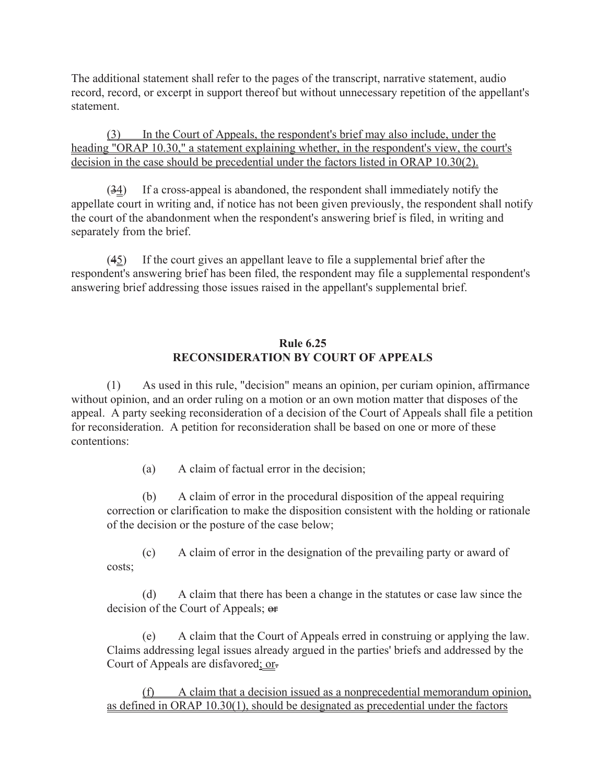The additional statement shall refer to the pages of the transcript, narrative statement, audio record, record, or excerpt in support thereof but without unnecessary repetition of the appellant's statement.

 (3) In the Court of Appeals, the respondent's brief may also include, under the heading "ORAP 10.30," a statement explaining whether, in the respondent's view, the court's decision in the case should be precedential under the factors listed in ORAP 10.30(2).

 $(34)$  If a cross-appeal is abandoned, the respondent shall immediately notify the appellate court in writing and, if notice has not been given previously, the respondent shall notify the court of the abandonment when the respondent's answering brief is filed, in writing and separately from the brief.

 $(45)$  If the court gives an appellant leave to file a supplemental brief after the respondent's answering brief has been filed, the respondent may file a supplemental respondent's answering brief addressing those issues raised in the appellant's supplemental brief.

# **Rule 6.25 RECONSIDERATION BY COURT OF APPEALS**

 (1) As used in this rule, "decision" means an opinion, per curiam opinion, affirmance without opinion, and an order ruling on a motion or an own motion matter that disposes of the appeal. A party seeking reconsideration of a decision of the Court of Appeals shall file a petition for reconsideration. A petition for reconsideration shall be based on one or more of these contentions:

(a) A claim of factual error in the decision;

 (b) A claim of error in the procedural disposition of the appeal requiring correction or clarification to make the disposition consistent with the holding or rationale of the decision or the posture of the case below;

 (c) A claim of error in the designation of the prevailing party or award of costs;

 (d) A claim that there has been a change in the statutes or case law since the decision of the Court of Appeals; or

 (e) A claim that the Court of Appeals erred in construing or applying the law. Claims addressing legal issues already argued in the parties' briefs and addressed by the Court of Appeals are disfavored; or-

 (f) A claim that a decision issued as a nonprecedential memorandum opinion, as defined in ORAP 10.30(1), should be designated as precedential under the factors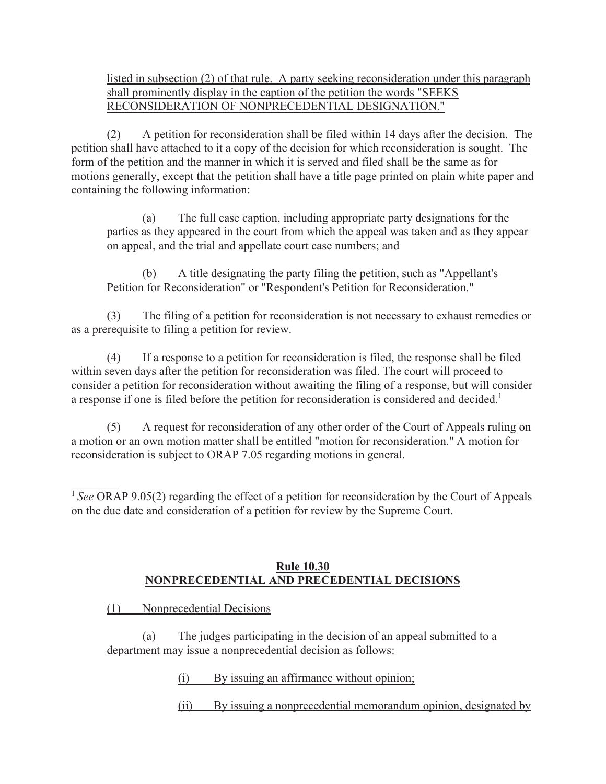# listed in subsection (2) of that rule. A party seeking reconsideration under this paragraph shall prominently display in the caption of the petition the words "SEEKS RECONSIDERATION OF NONPRECEDENTIAL DESIGNATION."

 (2) A petition for reconsideration shall be filed within 14 days after the decision. The petition shall have attached to it a copy of the decision for which reconsideration is sought. The form of the petition and the manner in which it is served and filed shall be the same as for motions generally, except that the petition shall have a title page printed on plain white paper and containing the following information:

 (a) The full case caption, including appropriate party designations for the parties as they appeared in the court from which the appeal was taken and as they appear on appeal, and the trial and appellate court case numbers; and

 (b) A title designating the party filing the petition, such as "Appellant's Petition for Reconsideration" or "Respondent's Petition for Reconsideration."

 (3) The filing of a petition for reconsideration is not necessary to exhaust remedies or as a prerequisite to filing a petition for review.

 (4) If a response to a petition for reconsideration is filed, the response shall be filed within seven days after the petition for reconsideration was filed. The court will proceed to consider a petition for reconsideration without awaiting the filing of a response, but will consider a response if one is filed before the petition for reconsideration is considered and decided.<sup>1</sup>

 (5) A request for reconsideration of any other order of the Court of Appeals ruling on a motion or an own motion matter shall be entitled "motion for reconsideration." A motion for reconsideration is subject to ORAP 7.05 regarding motions in general.

<sup>1</sup> See ORAP 9.05(2) regarding the effect of a petition for reconsideration by the Court of Appeals on the due date and consideration of a petition for review by the Supreme Court.

### **Rule 10.30 NONPRECEDENTIAL AND PRECEDENTIAL DECISIONS**

(1) Nonprecedential Decisions

(a) The judges participating in the decision of an appeal submitted to a department may issue a nonprecedential decision as follows:

(i) By issuing an affirmance without opinion;

(ii) By issuing a nonprecedential memorandum opinion, designated by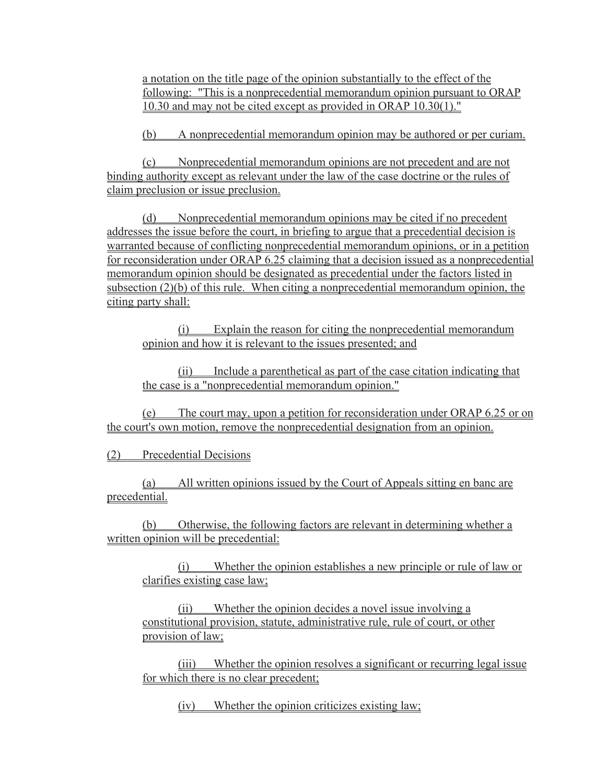a notation on the title page of the opinion substantially to the effect of the following: "This is a nonprecedential memorandum opinion pursuant to ORAP 10.30 and may not be cited except as provided in ORAP 10.30(1)."

(b) A nonprecedential memorandum opinion may be authored or per curiam.

(c) Nonprecedential memorandum opinions are not precedent and are not binding authority except as relevant under the law of the case doctrine or the rules of claim preclusion or issue preclusion.

(d) Nonprecedential memorandum opinions may be cited if no precedent addresses the issue before the court, in briefing to argue that a precedential decision is warranted because of conflicting nonprecedential memorandum opinions, or in a petition for reconsideration under ORAP 6.25 claiming that a decision issued as a nonprecedential memorandum opinion should be designated as precedential under the factors listed in subsection (2)(b) of this rule. When citing a nonprecedential memorandum opinion, the citing party shall:

(i) Explain the reason for citing the nonprecedential memorandum opinion and how it is relevant to the issues presented; and

(ii) Include a parenthetical as part of the case citation indicating that the case is a "nonprecedential memorandum opinion."

(e) The court may, upon a petition for reconsideration under ORAP 6.25 or on the court's own motion, remove the nonprecedential designation from an opinion.

(2) Precedential Decisions

(a) All written opinions issued by the Court of Appeals sitting en banc are precedential.

(b) Otherwise, the following factors are relevant in determining whether a written opinion will be precedential:

(i) Whether the opinion establishes a new principle or rule of law or clarifies existing case law;

(ii) Whether the opinion decides a novel issue involving a constitutional provision, statute, administrative rule, rule of court, or other provision of law;

(iii) Whether the opinion resolves a significant or recurring legal issue for which there is no clear precedent;

(iv) Whether the opinion criticizes existing law;